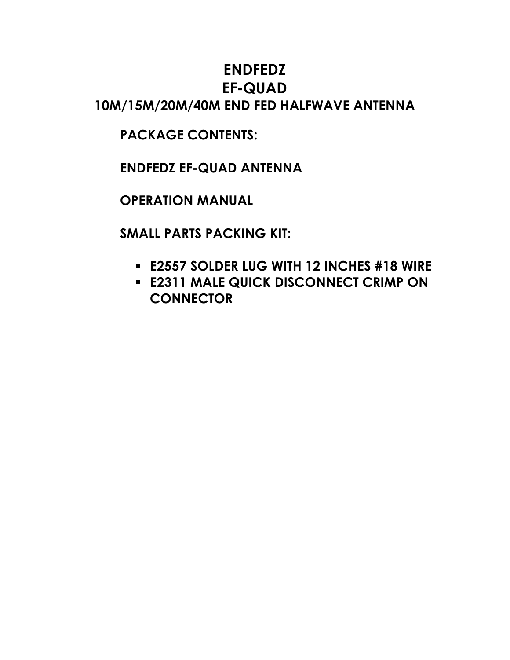# **ENDFEDZ EF-QUAD 10M/15M/20M/40M END FED HALFWAVE ANTENNA**

**PACKAGE CONTENTS:**

**ENDFEDZ EF-QUAD ANTENNA**

**OPERATION MANUAL**

**SMALL PARTS PACKING KIT:**

- **E2557 SOLDER LUG WITH 12 INCHES #18 WIRE**
- **E2311 MALE QUICK DISCONNECT CRIMP ON CONNECTOR**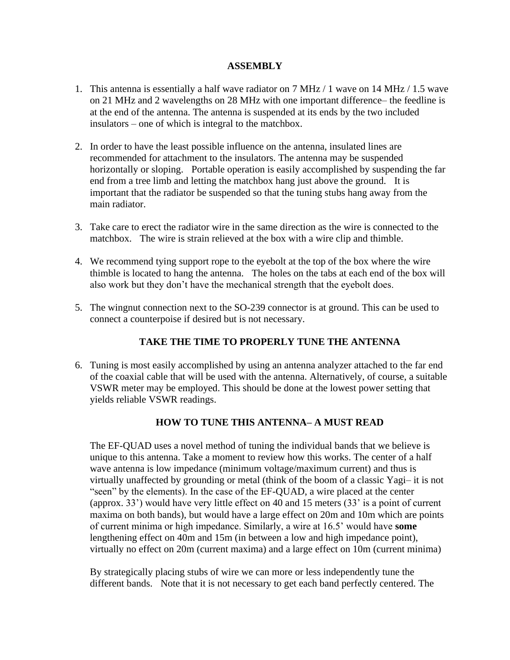#### **ASSEMBLY**

- 1. This antenna is essentially a half wave radiator on 7 MHz / 1 wave on 14 MHz / 1.5 wave on 21 MHz and 2 wavelengths on 28 MHz with one important difference– the feedline is at the end of the antenna. The antenna is suspended at its ends by the two included insulators – one of which is integral to the matchbox.
- 2. In order to have the least possible influence on the antenna, insulated lines are recommended for attachment to the insulators. The antenna may be suspended horizontally or sloping. Portable operation is easily accomplished by suspending the far end from a tree limb and letting the matchbox hang just above the ground. It is important that the radiator be suspended so that the tuning stubs hang away from the main radiator.
- 3. Take care to erect the radiator wire in the same direction as the wire is connected to the matchbox. The wire is strain relieved at the box with a wire clip and thimble.
- 4. We recommend tying support rope to the eyebolt at the top of the box where the wire thimble is located to hang the antenna. The holes on the tabs at each end of the box will also work but they don't have the mechanical strength that the eyebolt does.
- 5. The wingnut connection next to the SO-239 connector is at ground. This can be used to connect a counterpoise if desired but is not necessary.

### **TAKE THE TIME TO PROPERLY TUNE THE ANTENNA**

6. Tuning is most easily accomplished by using an antenna analyzer attached to the far end of the coaxial cable that will be used with the antenna. Alternatively, of course, a suitable VSWR meter may be employed. This should be done at the lowest power setting that yields reliable VSWR readings.

### **HOW TO TUNE THIS ANTENNA– A MUST READ**

The EF-QUAD uses a novel method of tuning the individual bands that we believe is unique to this antenna. Take a moment to review how this works. The center of a half wave antenna is low impedance (minimum voltage/maximum current) and thus is virtually unaffected by grounding or metal (think of the boom of a classic Yagi– it is not "seen" by the elements). In the case of the EF-QUAD, a wire placed at the center (approx. 33') would have very little effect on 40 and 15 meters (33' is a point of current maxima on both bands), but would have a large effect on 20m and 10m which are points of current minima or high impedance. Similarly, a wire at 16.5' would have **some** lengthening effect on 40m and 15m (in between a low and high impedance point), virtually no effect on 20m (current maxima) and a large effect on 10m (current minima)

By strategically placing stubs of wire we can more or less independently tune the different bands. Note that it is not necessary to get each band perfectly centered. The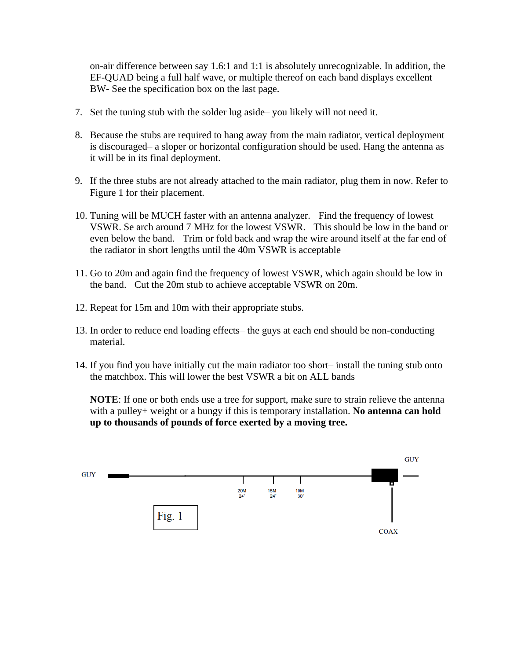on-air difference between say 1.6:1 and 1:1 is absolutely unrecognizable. In addition, the EF-QUAD being a full half wave, or multiple thereof on each band displays excellent BW- See the specification box on the last page.

- 7. Set the tuning stub with the solder lug aside– you likely will not need it.
- 8. Because the stubs are required to hang away from the main radiator, vertical deployment is discouraged– a sloper or horizontal configuration should be used. Hang the antenna as it will be in its final deployment.
- 9. If the three stubs are not already attached to the main radiator, plug them in now. Refer to Figure 1 for their placement.
- 10. Tuning will be MUCH faster with an antenna analyzer. Find the frequency of lowest VSWR. Se arch around 7 MHz for the lowest VSWR. This should be low in the band or even below the band. Trim or fold back and wrap the wire around itself at the far end of the radiator in short lengths until the 40m VSWR is acceptable
- 11. Go to 20m and again find the frequency of lowest VSWR, which again should be low in the band. Cut the 20m stub to achieve acceptable VSWR on 20m.
- 12. Repeat for 15m and 10m with their appropriate stubs.
- 13. In order to reduce end loading effects– the guys at each end should be non-conducting material.
- 14. If you find you have initially cut the main radiator too short– install the tuning stub onto the matchbox. This will lower the best VSWR a bit on ALL bands

**NOTE**: If one or both ends use a tree for support, make sure to strain relieve the antenna with a pulley+ weight or a bungy if this is temporary installation. **No antenna can hold up to thousands of pounds of force exerted by a moving tree.**

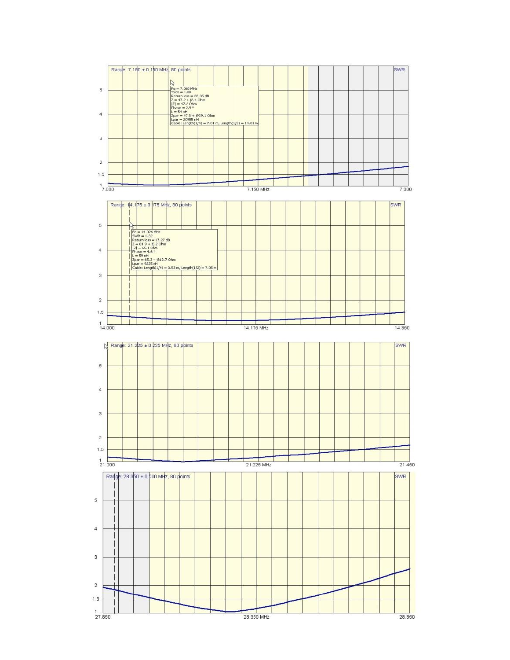